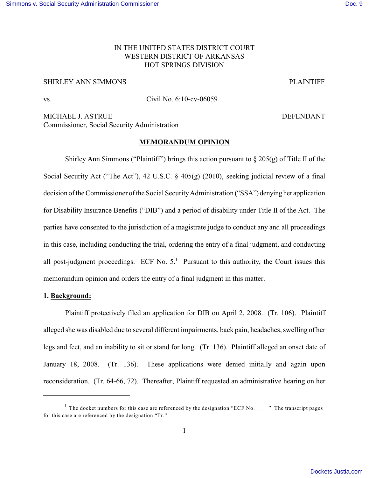# IN THE UNITED STATES DISTRICT COURT WESTERN DISTRICT OF ARKANSAS HOT SPRINGS DIVISION

# SHIRLEY ANN SIMMONS PLAINTIFF

vs. Civil No. 6:10-cv-06059

MICHAEL J. ASTRUE **DEFENDANT** Commissioner, Social Security Administration

#### **MEMORANDUM OPINION**

Shirley Ann Simmons ("Plaintiff") brings this action pursuant to  $\S 205(g)$  of Title II of the Social Security Act ("The Act"), 42 U.S.C. § 405(g) (2010), seeking judicial review of a final decision of the Commissioner of the Social SecurityAdministration ("SSA") denyingher application for Disability Insurance Benefits ("DIB") and a period of disability under Title II of the Act. The parties have consented to the jurisdiction of a magistrate judge to conduct any and all proceedings in this case, including conducting the trial, ordering the entry of a final judgment, and conducting all post-judgment proceedings. ECF No.  $5<sup>1</sup>$  Pursuant to this authority, the Court issues this memorandum opinion and orders the entry of a final judgment in this matter.

## **1. Background:**

Plaintiff protectively filed an application for DIB on April 2, 2008. (Tr. 106). Plaintiff alleged she was disabled due to several different impairments, back pain, headaches, swelling of her legs and feet, and an inability to sit or stand for long. (Tr. 136). Plaintiff alleged an onset date of January 18, 2008. (Tr. 136). These applications were denied initially and again upon reconsideration. (Tr. 64-66, 72). Thereafter, Plaintiff requested an administrative hearing on her

<sup>&</sup>lt;sup>1</sup> The docket numbers for this case are referenced by the designation "ECF No. \_\_\_\_" The transcript pages for this case are referenced by the designation "Tr."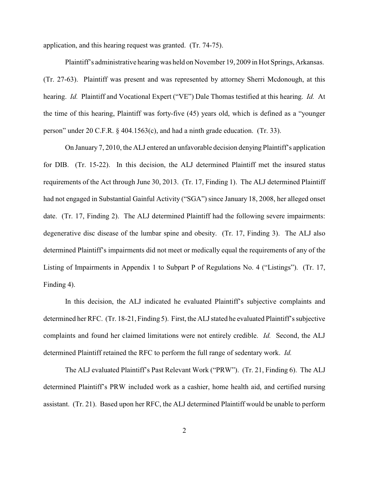application, and this hearing request was granted. (Tr. 74-75).

Plaintiff's administrative hearing was held on November 19, 2009 in Hot Springs, Arkansas. (Tr. 27-63). Plaintiff was present and was represented by attorney Sherri Mcdonough, at this hearing. *Id.* Plaintiff and Vocational Expert ("VE") Dale Thomas testified at this hearing. *Id.* At the time of this hearing, Plaintiff was forty-five (45) years old, which is defined as a "younger person" under 20 C.F.R. § 404.1563(c), and had a ninth grade education. (Tr. 33).

On January 7, 2010, the ALJ entered an unfavorable decision denying Plaintiff's application for DIB. (Tr. 15-22). In this decision, the ALJ determined Plaintiff met the insured status requirements of the Act through June 30, 2013. (Tr. 17, Finding 1). The ALJ determined Plaintiff had not engaged in Substantial Gainful Activity ("SGA") since January 18, 2008, her alleged onset date. (Tr. 17, Finding 2). The ALJ determined Plaintiff had the following severe impairments: degenerative disc disease of the lumbar spine and obesity. (Tr. 17, Finding 3). The ALJ also determined Plaintiff's impairments did not meet or medically equal the requirements of any of the Listing of Impairments in Appendix 1 to Subpart P of Regulations No. 4 ("Listings"). (Tr. 17, Finding 4).

In this decision, the ALJ indicated he evaluated Plaintiff's subjective complaints and determined her RFC. (Tr. 18-21, Finding 5). First, the ALJ stated he evaluated Plaintiff's subjective complaints and found her claimed limitations were not entirely credible. *Id.* Second, the ALJ determined Plaintiff retained the RFC to perform the full range of sedentary work. *Id.*

The ALJ evaluated Plaintiff's Past Relevant Work ("PRW"). (Tr. 21, Finding 6). The ALJ determined Plaintiff's PRW included work as a cashier, home health aid, and certified nursing assistant. (Tr. 21). Based upon her RFC, the ALJ determined Plaintiff would be unable to perform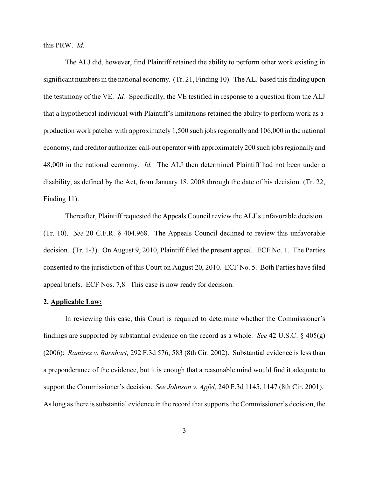this PRW. *Id.* 

The ALJ did, however, find Plaintiff retained the ability to perform other work existing in significant numbers in the national economy. (Tr. 21, Finding 10). The ALJ based this finding upon the testimony of the VE. *Id.* Specifically, the VE testified in response to a question from the ALJ that a hypothetical individual with Plaintiff's limitations retained the ability to perform work as a production work patcher with approximately 1,500 such jobs regionally and 106,000 in the national economy, and creditor authorizer call-out operator with approximately 200 such jobs regionally and 48,000 in the national economy. *Id.* The ALJ then determined Plaintiff had not been under a disability, as defined by the Act, from January 18, 2008 through the date of his decision. (Tr. 22, Finding 11).

Thereafter, Plaintiff requested the Appeals Council review the ALJ's unfavorable decision. (Tr. 10). *See* 20 C.F.R. § 404.968. The Appeals Council declined to review this unfavorable decision. (Tr. 1-3). On August 9, 2010, Plaintiff filed the present appeal. ECF No. 1. The Parties consented to the jurisdiction of this Court on August 20, 2010. ECF No. 5. Both Parties have filed appeal briefs. ECF Nos. 7,8. This case is now ready for decision.

### **2. Applicable Law:**

In reviewing this case, this Court is required to determine whether the Commissioner's findings are supported by substantial evidence on the record as a whole. *See* 42 U.S.C. § 405(g) (2006); *Ramirez v. Barnhart,* 292 F.3d 576, 583 (8th Cir. 2002). Substantial evidence is less than a preponderance of the evidence, but it is enough that a reasonable mind would find it adequate to support the Commissioner's decision. *See Johnson v. Apfel,* 240 F.3d 1145, 1147 (8th Cir. 2001). As long as there is substantial evidence in the record that supports the Commissioner's decision, the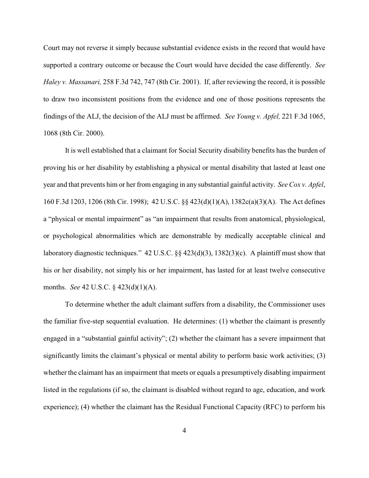Court may not reverse it simply because substantial evidence exists in the record that would have supported a contrary outcome or because the Court would have decided the case differently. *See Haley v. Massanari,* 258 F.3d 742, 747 (8th Cir. 2001). If, after reviewing the record, it is possible to draw two inconsistent positions from the evidence and one of those positions represents the findings of the ALJ, the decision of the ALJ must be affirmed. *See Young v. Apfel,* 221 F.3d 1065, 1068 (8th Cir. 2000).

It is well established that a claimant for Social Security disability benefits has the burden of proving his or her disability by establishing a physical or mental disability that lasted at least one year and that prevents him or her from engaging in any substantial gainful activity. *See Cox v. Apfel*, 160 F.3d 1203, 1206 (8th Cir. 1998); 42 U.S.C. §§ 423(d)(1)(A), 1382c(a)(3)(A). The Act defines a "physical or mental impairment" as "an impairment that results from anatomical, physiological, or psychological abnormalities which are demonstrable by medically acceptable clinical and laboratory diagnostic techniques." 42 U.S.C. §§ 423(d)(3), 1382(3)(c). A plaintiff must show that his or her disability, not simply his or her impairment, has lasted for at least twelve consecutive months. *See* 42 U.S.C. § 423(d)(1)(A).

To determine whether the adult claimant suffers from a disability, the Commissioner uses the familiar five-step sequential evaluation. He determines: (1) whether the claimant is presently engaged in a "substantial gainful activity"; (2) whether the claimant has a severe impairment that significantly limits the claimant's physical or mental ability to perform basic work activities; (3) whether the claimant has an impairment that meets or equals a presumptively disabling impairment listed in the regulations (if so, the claimant is disabled without regard to age, education, and work experience); (4) whether the claimant has the Residual Functional Capacity (RFC) to perform his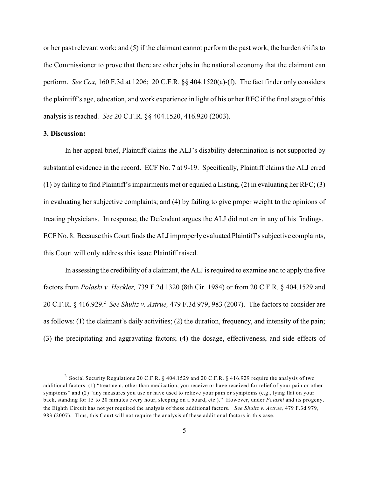or her past relevant work; and (5) if the claimant cannot perform the past work, the burden shifts to the Commissioner to prove that there are other jobs in the national economy that the claimant can perform. *See Cox,* 160 F.3d at 1206; 20 C.F.R. §§ 404.1520(a)-(f). The fact finder only considers the plaintiff's age, education, and work experience in light of his or her RFC if the final stage of this analysis is reached. *See* 20 C.F.R. §§ 404.1520, 416.920 (2003).

### **3. Discussion:**

In her appeal brief, Plaintiff claims the ALJ's disability determination is not supported by substantial evidence in the record. ECF No. 7 at 9-19. Specifically, Plaintiff claims the ALJ erred (1) by failing to find Plaintiff's impairments met or equaled a Listing, (2) in evaluating her RFC; (3) in evaluating her subjective complaints; and (4) by failing to give proper weight to the opinions of treating physicians. In response, the Defendant argues the ALJ did not err in any of his findings. ECF No. 8. Because this Court finds the ALJ improperly evaluated Plaintiff's subjective complaints, this Court will only address this issue Plaintiff raised.

In assessing the credibility of a claimant, the ALJ is required to examine and to apply the five factors from *Polaski v. Heckler,* 739 F.2d 1320 (8th Cir. 1984) or from 20 C.F.R. § 404.1529 and 20 C.F.R. § 416.929. *See Shultz v. Astrue,* 479 F.3d 979, 983 (2007). The factors to consider are <sup>2</sup> as follows: (1) the claimant's daily activities; (2) the duration, frequency, and intensity of the pain; (3) the precipitating and aggravating factors; (4) the dosage, effectiveness, and side effects of

<sup>&</sup>lt;sup>2</sup> Social Security Regulations 20 C.F.R. § 404.1529 and 20 C.F.R. § 416.929 require the analysis of two additional factors: (1) "treatment, other than medication, you receive or have received for relief of your pain or other symptoms" and (2) "any measures you use or have used to relieve your pain or symptoms (e.g., lying flat on your back, standing for 15 to 20 minutes every hour, sleeping on a board, etc.)." However, under *Polaski* and its progeny, the Eighth Circuit has not yet required the analysis of these additional factors. *See Shultz v. Astrue,* 479 F.3d 979, 983 (2007). Thus, this Court will not require the analysis of these additional factors in this case.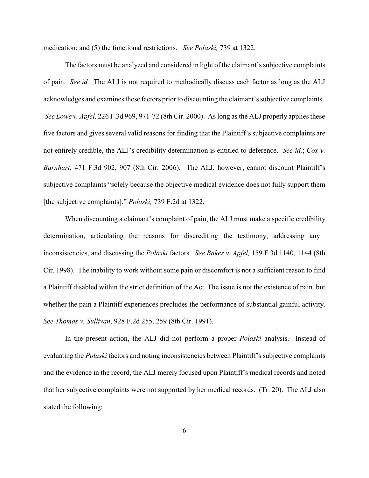medication; and (5) the functional restrictions. *See Polaski,* 739 at 1322.

The factors must be analyzed and considered in light of the claimant's subjective complaints of pain. *See id.* The ALJ is not required to methodically discuss each factor as long as the ALJ acknowledges and examines these factors prior to discounting the claimant's subjective complaints. *See Lowe v. Apfel,* 226 F.3d 969, 971-72 (8th Cir. 2000). As long as the ALJ properly applies these five factors and gives several valid reasons for finding that the Plaintiff's subjective complaints are not entirely credible, the ALJ's credibility determination is entitled to deference. *See id.*; *Cox v. Barnhart,* 471 F.3d 902, 907 (8th Cir. 2006). The ALJ, however, cannot discount Plaintiff's subjective complaints "solely because the objective medical evidence does not fully support them [the subjective complaints]." *Polaski,* 739 F.2d at 1322.

When discounting a claimant's complaint of pain, the ALJ must make a specific credibility determination, articulating the reasons for discrediting the testimony, addressing any inconsistencies, and discussing the *Polaski* factors. *See Baker v. Apfel,* 159 F.3d 1140, 1144 (8th Cir. 1998). The inability to work without some pain or discomfort is not a sufficient reason to find a Plaintiff disabled within the strict definition of the Act. The issue is not the existence of pain, but whether the pain a Plaintiff experiences precludes the performance of substantial gainful activity. *See Thomas v. Sullivan*, 928 F.2d 255, 259 (8th Cir. 1991).

In the present action, the ALJ did not perform a proper *Polaski* analysis. Instead of evaluating the *Polaski* factors and noting inconsistencies between Plaintiff's subjective complaints and the evidence in the record, the ALJ merely focused upon Plaintiff's medical records and noted that her subjective complaints were not supported by her medical records. (Tr. 20). The ALJ also stated the following: